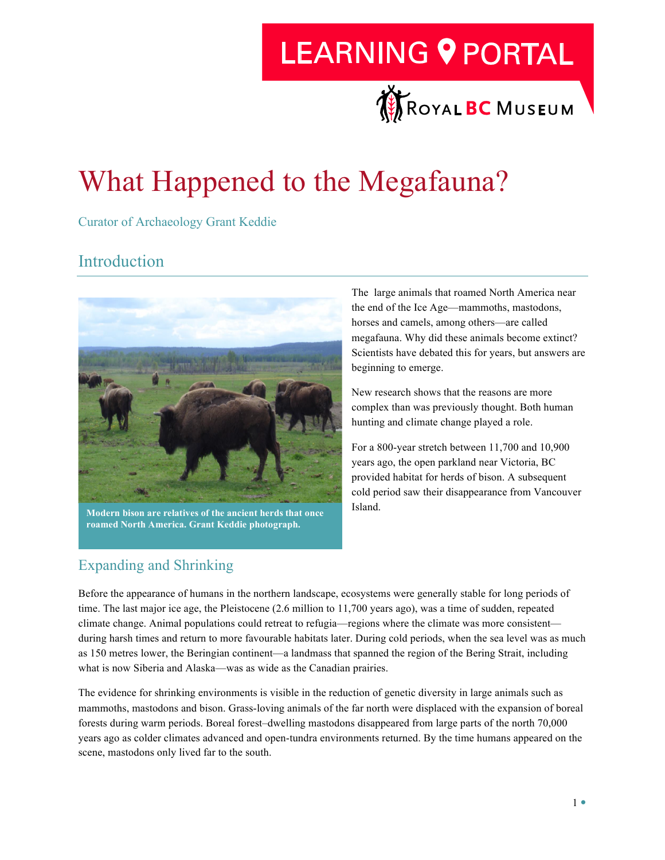## **LEARNING 9 PORTAL**



## What Happened to the Megafauna?

Curator of Archaeology Grant Keddie

### Introduction



**Modern bison are relatives of the ancient herds that once roamed North America. Grant Keddie photograph.**

The large animals that roamed North America near the end of the Ice Age—mammoths, mastodons, horses and camels, among others—are called megafauna. Why did these animals become extinct? Scientists have debated this for years, but answers are beginning to emerge.

New research shows that the reasons are more complex than was previously thought. Both human hunting and climate change played a role.

For a 800-year stretch between 11,700 and 10,900 years ago, the open parkland near Victoria, BC provided habitat for herds of bison. A subsequent cold period saw their disappearance from Vancouver Island.

#### Expanding and Shrinking

Before the appearance of humans in the northern landscape, ecosystems were generally stable for long periods of time. The last major ice age, the Pleistocene (2.6 million to 11,700 years ago), was a time of sudden, repeated climate change. Animal populations could retreat to refugia—regions where the climate was more consistent during harsh times and return to more favourable habitats later. During cold periods, when the sea level was as much as 150 metres lower, the Beringian continent—a landmass that spanned the region of the Bering Strait, including what is now Siberia and Alaska—was as wide as the Canadian prairies.

The evidence for shrinking environments is visible in the reduction of genetic diversity in large animals such as mammoths, mastodons and bison. Grass-loving animals of the far north were displaced with the expansion of boreal forests during warm periods. Boreal forest–dwelling mastodons disappeared from large parts of the north 70,000 years ago as colder climates advanced and open-tundra environments returned. By the time humans appeared on the scene, mastodons only lived far to the south.